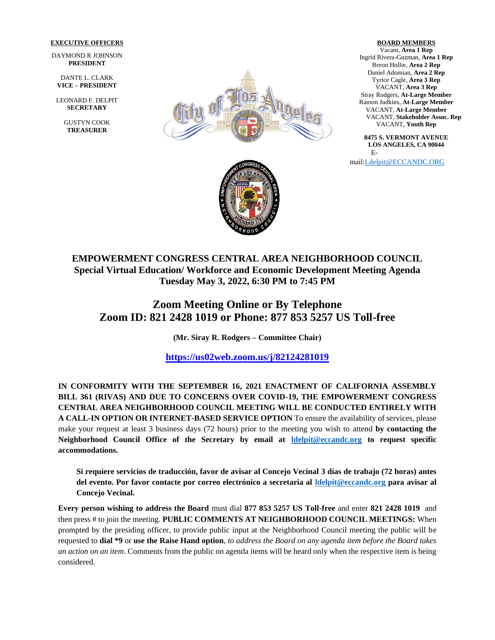#### **EXECUTIVE OFFICERS**

DAYMOND R JOHNSON **PRESIDENT**

DANTE L. CLARK **VICE – PRESIDENT**

LEONARD F. DELPIT **SECRETARY**

> GUSTYN COOK **TREASURER**



**BOARD MEMBERS** Vacant, **Area 1 Rep**  Ingrid Rivera-Guzman, **Area 1 Rep** Breon Hollie, **Area 2 Rep** Daniel Adomian, **Area 2 Rep** Tyrice Cagle, **Area 3 Rep** VACANT, **Area 3 Rep** Siray Rodgers, **At-Large Member** Ramon Judkins, **At-Large Member** VACANT, **At-Large Member** VACANT, **Stakeholder Assoc. Rep** VACANT, **Youth Rep**

**8475 S. VERMONT AVENUE LOS ANGELES, CA 90044** E-

mail[:Ldelpit@ECCANDC.ORG](mailto:Ldelpit@ECCANDC.ORG)



## **EMPOWERMENT CONGRESS CENTRAL AREA NEIGHBORHOOD COUNCIL Special Virtual Education/ Workforce and Economic Development Meeting Agenda Tuesday May 3, 2022, 6:30 PM to 7:45 PM**

# **Zoom Meeting Online or By Telephone Zoom ID: 821 2428 1019 or Phone: 877 853 5257 US Toll-free**

**(Mr. Siray R. Rodgers – Committee Chair)**

**<https://us02web.zoom.us/j/82124281019>**

**IN CONFORMITY WITH THE SEPTEMBER 16, 2021 ENACTMENT OF CALIFORNIA ASSEMBLY BILL 361 (RIVAS) AND DUE TO CONCERNS OVER COVID-19, THE EMPOWERMENT CONGRESS CENTRAL AREA NEIGHBORHOOD COUNCIL MEETING WILL BE CONDUCTED ENTIRELY WITH A CALL-IN OPTION OR INTERNET-BASED SERVICE OPTION** To ensure the availability of services, please make your request at least 3 business days (72 hours) prior to the meeting you wish to attend **by contacting the Neighborhood Council Office of the Secretary by email at [ldelpit@eccandc.org](mailto:ldelpit@eccandc.org) to request specific accommodations.**

**Si requiere servicios de traducción, favor de avisar al Concejo Vecinal 3 días de trabajo (72 horas) antes del evento. Por favor contacte por correo electrónico a secretaria al [ldelpit@eccandc.org](mailto:ldelpit@eccandc.org) para avisar al Concejo Vecinal.**

**Every person wishing to address the Board** must dial **877 853 5257 US Toll-free** and enter **821 2428 1019** and then press # to join the meeting. **PUBLIC COMMENTS AT NEIGHBORHOOD COUNCIL MEETINGS:** When prompted by the presiding officer, to provide public input at the Neighborhood Council meeting the public will be requested to **dial \*9** or **use the Raise Hand option**, *to address the Board on any agenda item before the Board takes an action on an item*. Comments from the public on agenda items will be heard only when the respective item is being considered.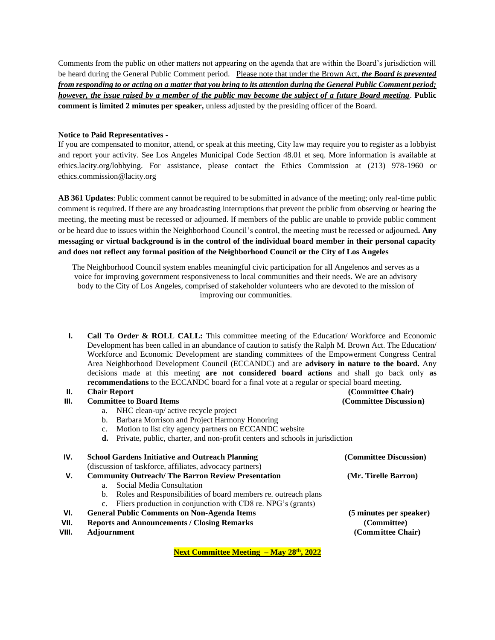Comments from the public on other matters not appearing on the agenda that are within the Board's jurisdiction will be heard during the General Public Comment period.Please note that under the Brown Act, *the Board is prevented from responding to or acting on a matter that you bring to its attention during the General Public Comment period; however, the issue raised by a member of the public may become the subject of a future Board meeting*. **Public comment is limited 2 minutes per speaker,** unless adjusted by the presiding officer of the Board.

#### **Notice to Paid Representatives -**

If you are compensated to monitor, attend, or speak at this meeting, City law may require you to register as a lobbyist and report your activity. See Los Angeles Municipal Code Section 48.01 et seq. More information is available at ethics.lacity.org/lobbying. For assistance, please contact the Ethics Commission at (213) 978-1960 or ethics.commission@lacity.org

**AB 361 Updates**: Public comment cannot be required to be submitted in advance of the meeting; only real-time public comment is required. If there are any broadcasting interruptions that prevent the public from observing or hearing the meeting, the meeting must be recessed or adjourned. If members of the public are unable to provide public comment or be heard due to issues within the Neighborhood Council's control, the meeting must be recessed or adjourned*.* **Any messaging or virtual background is in the control of the individual board member in their personal capacity and does not reflect any formal position of the Neighborhood Council or the City of Los Angeles**

The Neighborhood Council system enables meaningful civic participation for all Angelenos and serves as a voice for improving government responsiveness to local communities and their needs. We are an advisory body to the City of Los Angeles, comprised of stakeholder volunteers who are devoted to the mission of improving our communities.

**I. Call To Order & ROLL CALL:** This committee meeting of the Education/ Workforce and Economic Development has been called in an abundance of caution to satisfy the Ralph M. Brown Act. The Education/ Workforce and Economic Development are standing committees of the Empowerment Congress Central Area Neighborhood Development Council (ECCANDC) and are **advisory in nature to the board.** Any decisions made at this meeting **are not considered board actions** and shall go back only **as recommendations** to the ECCANDC board for a final vote at a regular or special board meeting.

### **II. Chair Report (Committee Chair)**

#### **III. Committee to Board Items (Committee Discussion)**

### a. NHC clean-up/ active recycle project

- b. Barbara Morrison and Project Harmony Honoring
- c. Motion to list city agency partners on ECCANDC website
- **d.** Private, public, charter, and non-profit centers and schools in jurisdiction

| IV.   | <b>School Gardens Initiative and Outreach Planning</b><br>(discussion of taskforce, affiliates, advocacy partners) |                                                                 | (Committee Discussion)           |
|-------|--------------------------------------------------------------------------------------------------------------------|-----------------------------------------------------------------|----------------------------------|
|       |                                                                                                                    |                                                                 |                                  |
| v.    | <b>Community Outreach/The Barron Review Presentation</b>                                                           |                                                                 | (Mr. Tirelle Barron)             |
|       | a <sub>1</sub>                                                                                                     | Social Media Consultation                                       |                                  |
|       | b.                                                                                                                 | Roles and Responsibilities of board members re. outreach plans  |                                  |
|       |                                                                                                                    | c. Fliers production in conjunction with CD8 re. NPG's (grants) |                                  |
| VI.   | <b>General Public Comments on Non-Agenda Items</b>                                                                 |                                                                 | (5 minutes per speaker)          |
| VII.  | <b>Reports and Announcements / Closing Remarks</b>                                                                 |                                                                 | (Committee)<br>(Committee Chair) |
| VIII. | <b>Adjournment</b>                                                                                                 |                                                                 |                                  |
|       |                                                                                                                    |                                                                 |                                  |
|       |                                                                                                                    |                                                                 |                                  |